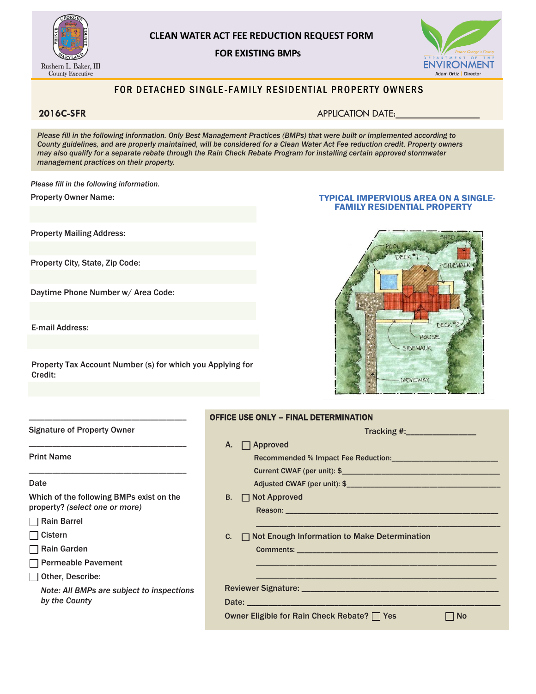

### **CLEAN WATER ACT FEE REDUCTION REQUEST FORM**

#### **FOR EXISTING BMPs**



### FOR DETACHED SINGLE-FAMILY RESIDENTIAL PROPERTY OWNERS

**2016C-SFR** APPLICATION DATE:

*Please fill in the following information. Only Best Management Practices (BMPs) that were built or implemented according to County guidelines, and are properly maintained, will be considered for a Clean Water Act Fee reduction credit. Property owners may also qualify for a separate rebate through the Rain Check Rebate Program for installing certain approved stormwater management practices on their property.*

*Please fill in the following information.*

Property Owner Name:

Property Mailing Address:

Property City, State, Zip Code:

Daytime Phone Number w/ Area Code:

\_\_\_\_\_\_\_\_\_\_\_\_\_\_\_\_\_\_\_\_\_\_\_\_\_\_\_\_\_\_\_\_\_\_\_\_\_\_\_\_

E-mail Address:

Property Tax Account Number (s) for which you Applying for Credit:

#### TYPICAL IMPERVIOUS AREA ON A SINGLE- FAMILY RESIDENTIAL PROPERTY



| <b>Signature of Property Owner</b>        | Tracking #:__________________                            |  |  |
|-------------------------------------------|----------------------------------------------------------|--|--|
|                                           | Approved<br>А.                                           |  |  |
| <b>Print Name</b>                         |                                                          |  |  |
|                                           |                                                          |  |  |
| Date                                      |                                                          |  |  |
| Which of the following BMPs exist on the  | <b>B.</b> □ Not Approved                                 |  |  |
| property? (select one or more)            |                                                          |  |  |
| Rain Barrel                               |                                                          |  |  |
| <b>Oistern</b>                            | Not Enough Information to Make Determination<br>C.       |  |  |
| □ Rain Garden                             |                                                          |  |  |
| Permeable Pavement                        |                                                          |  |  |
| Other, Describe:                          |                                                          |  |  |
| Note: All BMPs are subject to inspections |                                                          |  |  |
| by the County                             |                                                          |  |  |
|                                           | Owner Eligible for Rain Check Rebate? □ Yes<br>$\Box$ No |  |  |

OFFICE USE ONLY – FINAL DETERMINATION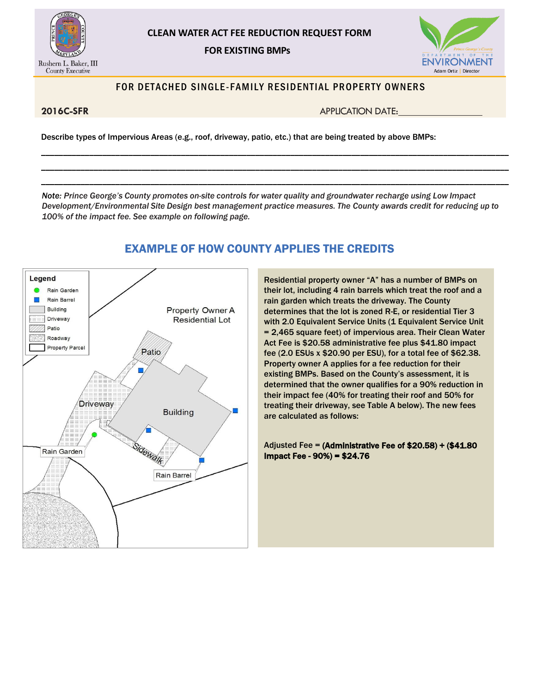

# **CLEAN WATER ACT FEE REDUCTION REQUEST FORM**



### **FOR EXISTING BMPs**

## FOR DETACHED SINGLE-FAMILY RESIDENTIAL PROPERTY OWNERS

**2016C-SFR** APPLICATION DATE:

Describe types of Impervious Areas (e.g., roof, driveway, patio, etc.) that are being treated by above BMPs:

*Note: Prince George's County promotes on-site controls for water quality and groundwater recharge using Low Impact Development/Environmental Site Design best management practice measures. The County awards credit for reducing up to 100% of the impact fee. See example on following page.*

\_\_\_\_\_\_\_\_\_\_\_\_\_\_\_\_\_\_\_\_\_\_\_\_\_\_\_\_\_\_\_\_\_\_\_\_\_\_\_\_\_\_\_\_\_\_\_\_\_\_\_\_\_\_\_\_\_\_\_\_\_\_\_\_\_\_\_\_\_\_\_\_\_\_\_\_\_\_\_\_\_\_\_\_\_\_\_\_\_\_\_\_\_\_\_\_\_\_\_\_\_\_\_\_\_\_\_ \_\_\_\_\_\_\_\_\_\_\_\_\_\_\_\_\_\_\_\_\_\_\_\_\_\_\_\_\_\_\_\_\_\_\_\_\_\_\_\_\_\_\_\_\_\_\_\_\_\_\_\_\_\_\_\_\_\_\_\_\_\_\_\_\_\_\_\_\_\_\_\_\_\_\_\_\_\_\_\_\_\_\_\_\_\_\_\_\_\_\_\_\_\_\_\_\_\_\_\_\_\_\_\_\_\_\_ \_\_\_\_\_\_\_\_\_\_\_\_\_\_\_\_\_\_\_\_\_\_\_\_\_\_\_\_\_\_\_\_\_\_\_\_\_\_\_\_\_\_\_\_\_\_\_\_\_\_\_\_\_\_\_\_\_\_\_\_\_\_\_\_\_\_\_\_\_\_\_\_\_\_\_\_\_\_\_\_\_\_\_\_\_\_\_\_\_\_\_\_\_\_\_\_\_\_\_\_\_\_\_\_\_\_\_



# EXAMPLE OF HOW COUNTY APPLIES THE CREDITS

Residential property owner "A" has a number of BMPs on their lot, including 4 rain barrels which treat the roof and a rain garden which treats the driveway. The County determines that the lot is zoned R-E, or residential Tier 3 with 2.0 Equivalent Service Units (1 Equivalent Service Unit = 2,465 square feet) of impervious area. Their Clean Water Act Fee is \$20.58 administrative fee plus \$41.80 impact fee (2.0 ESUs x \$20.90 per ESU), for a total fee of \$62.38. Property owner A applies for a fee reduction for their existing BMPs. Based on the County's assessment, it is determined that the owner qualifies for a 90% reduction in their impact fee (40% for treating their roof and 50% for treating their driveway, see Table A below). The new fees are calculated as follows:

Adjusted Fee = (Administrative Fee of \$20.58) + (\$41.80 Impact Fee - 90%) = \$24.76